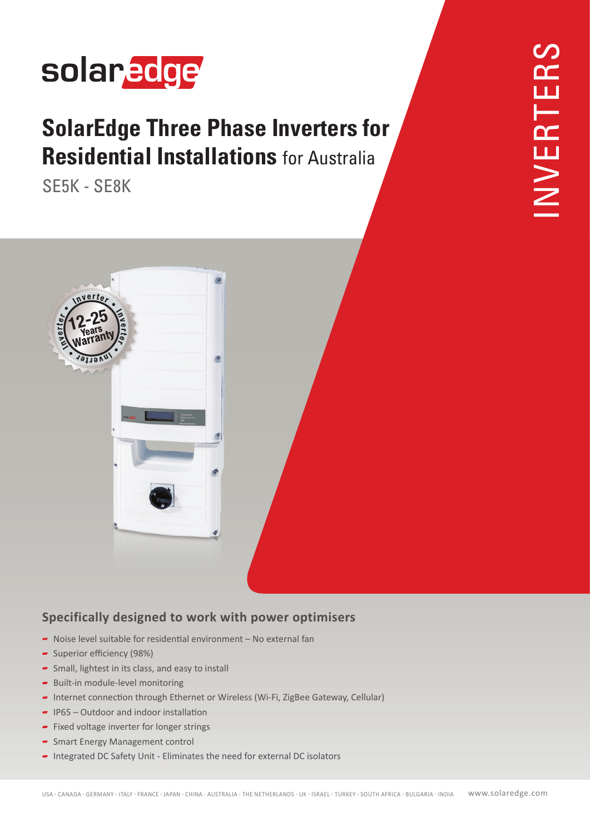## solaredge

### **SolarEdge Three Phase Inverters for Residential Installations** for Australia

**SE5K - SE8K** 



#### **Specifically designed to work with power optimisers**

- $\blacksquare$  Noise level suitable for residential environment  $\blacksquare$  No external fan
- Superior efficiency (98%)
- $\sim$  Small, lightest in its class, and easy to install
- $\blacksquare$  Built-in module-level monitoring
- Internet connection through Ethernet or Wireless (Wi-Fi, ZigBee Gateway, Cellular)
- $\blacksquare$  IP65 Outdoor and indoor installation
- $\blacktriangleright$  Fixed voltage inverter for longer strings
- $\blacktriangleright$  Smart Energy Management control
- Integrated DC Safety Unit Eliminates the need for external DC isolators